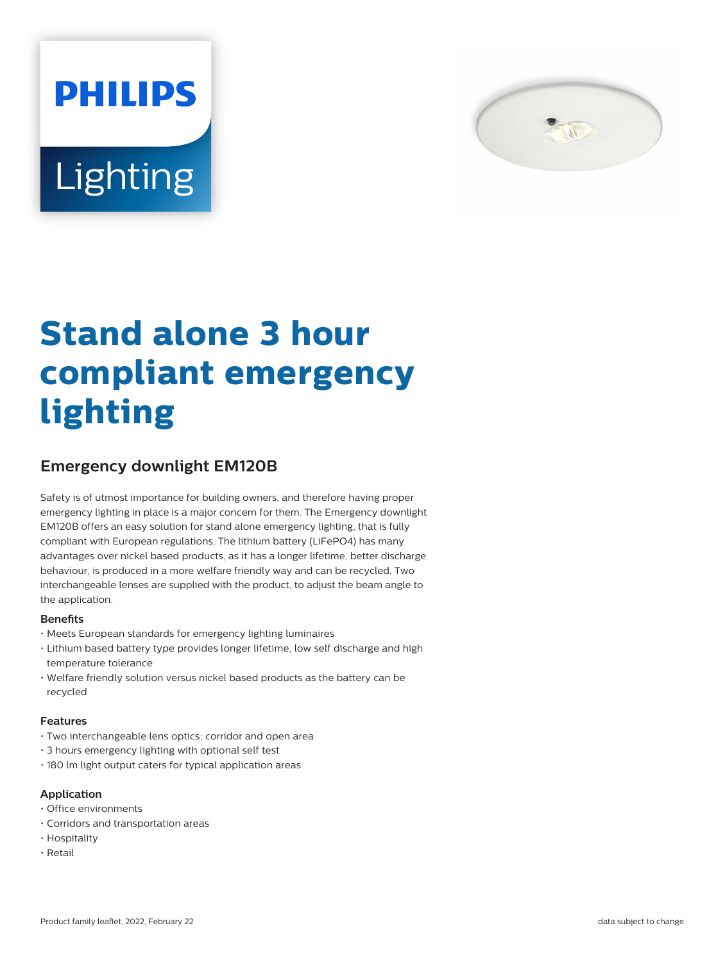



# **Stand alone 3 hour compliant emergency lighting**

# **Emergency downlight EM120B**

Safety is of utmost importance for building owners, and therefore having proper emergency lighting in place is a major concern for them. The Emergency downlight EM120B offers an easy solution for stand alone emergency lighting, that is fully compliant with European regulations. The lithium battery (LiFePO4) has many advantages over nickel based products, as it has a longer lifetime, better discharge behaviour, is produced in a more welfare friendly way and can be recycled. Two interchangeable lenses are supplied with the product, to adjust the beam angle to the application.

#### **Benets**

- Meets European standards for emergency lighting luminaires
- Lithium based battery type provides longer lifetime, low self discharge and high temperature tolerance
- Welfare friendly solution versus nickel based products as the battery can be recycled

#### **Features**

- Two interchangeable lens optics; corridor and open area
- 3 hours emergency lighting with optional self test
- 180 lm light output caters for typical application areas

## **Application**

- Office environments
- Corridors and transportation areas
- Hospitality
- Retail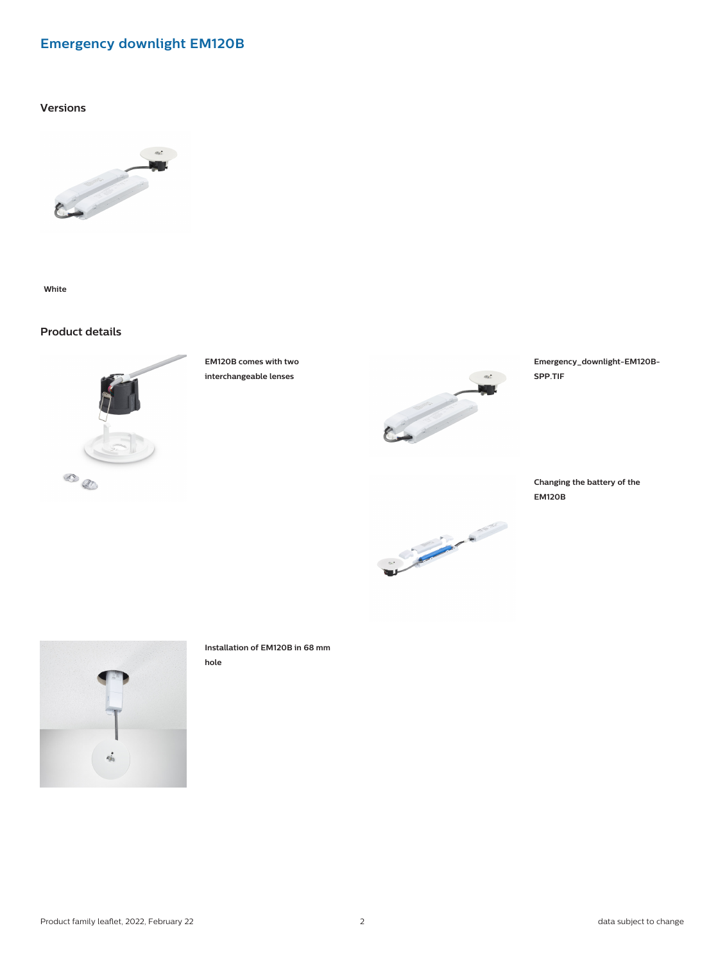## **Emergency downlight EM120B**

**Versions**



**White**

## **Product details**



**EM120B comes with two interchangeable lenses**



Charles Charles Charles

**Emergency\_downlight-EM120B-SPP.TIF**

**Changing the battery of the EM120B**



**Installation of EM120B in 68 mm hole**